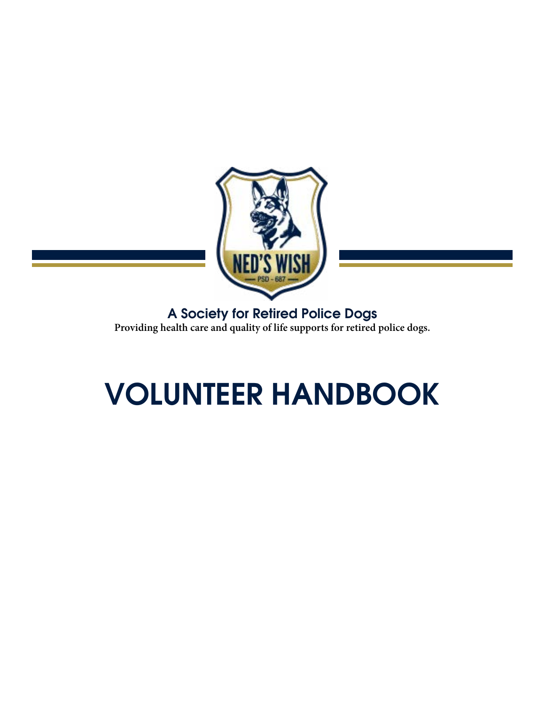

A Society for Retired Police Dogs **Providing health care and quality of life supports for retired police dogs.**

# VOLUNTEER HANDBOOK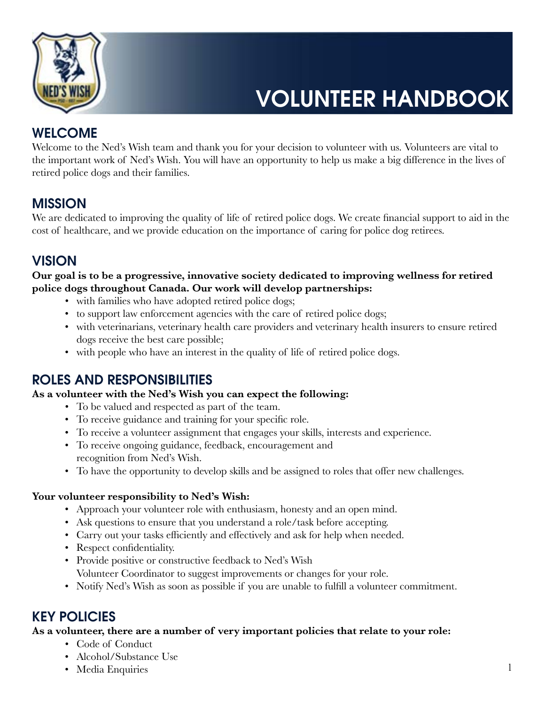

## VOLUNTEER HANDBOOK

### **WELCOME**

Welcome to the Ned's Wish team and thank you for your decision to volunteer with us. Volunteers are vital to the important work of Ned's Wish. You will have an opportunity to help us make a big difference in the lives of retired police dogs and their families.

## MISSION

We are dedicated to improving the quality of life of retired police dogs. We create financial support to aid in the cost of healthcare, and we provide education on the importance of caring for police dog retirees.

### **VISION**

#### **Our goal is to be a progressive, innovative society dedicated to improving wellness for retired police dogs throughout Canada. Our work will develop partnerships:**

- with families who have adopted retired police dogs;
- to support law enforcement agencies with the care of retired police dogs;
- with veterinarians, veterinary health care providers and veterinary health insurers to ensure retired dogs receive the best care possible;
- with people who have an interest in the quality of life of retired police dogs.

## ROLES AND RESPONSIBILITIES

#### **As a volunteer with the Ned's Wish you can expect the following:**

- To be valued and respected as part of the team.
- To receive guidance and training for your specific role.
- To receive a volunteer assignment that engages your skills, interests and experience.
- To receive ongoing guidance, feedback, encouragement and recognition from Ned's Wish.
- To have the opportunity to develop skills and be assigned to roles that offer new challenges.

#### **Your volunteer responsibility to Ned's Wish:**

- Approach your volunteer role with enthusiasm, honesty and an open mind.
- Ask questions to ensure that you understand a role/task before accepting.
- Carry out your tasks efficiently and effectively and ask for help when needed.
- Respect confidentiality.
- Provide positive or constructive feedback to Ned's Wish Volunteer Coordinator to suggest improvements or changes for your role.
- Notify Ned's Wish as soon as possible if you are unable to fulfill a volunteer commitment.

#### KEY POLICIES

#### **As a volunteer, there are a number of very important policies that relate to your role:**

- Code of Conduct
- Alcohol/Substance Use
- Media Enquiries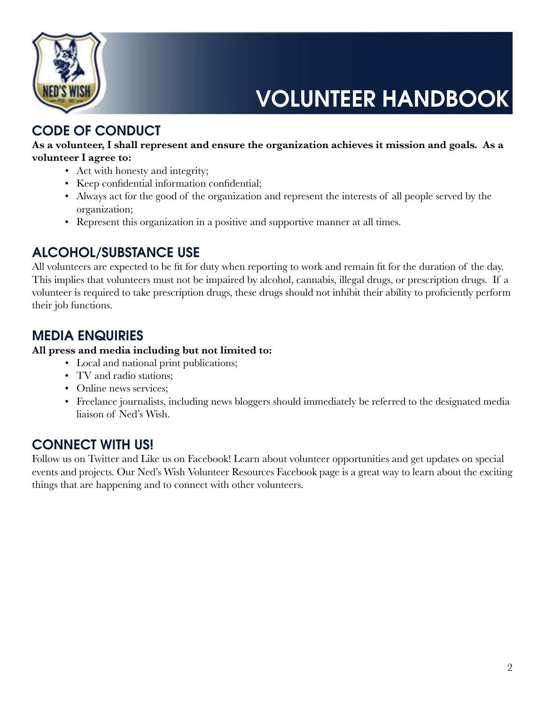

VOLUNTEER HANDBOOK

## CODE OF CONDUCT

#### **As a volunteer, I shall represent and ensure the organization achieves it mission and goals. As a volunteer I agree to:**

- Act with honesty and integrity;
- Keep confidential information confidential;
- Always act for the good of the organization and represent the interests of all people served by the organization;
- Represent this organization in a positive and supportive manner at all times.

## ALCOHOL/SUBSTANCE USE

All volunteers are expected to be fit for duty when reporting to work and remain fit for the duration of the day. This implies that volunteers must not be impaired by alcohol, cannabis, illegal drugs, or prescription drugs. If a volunteer is required to take prescription drugs, these drugs should not inhibit their ability to proficiently perform their job functions.

## MEDIA ENQUIRIES

#### **All press and media including but not limited to:**

- Local and national print publications;
- TV and radio stations:
- Online news services;
- Freelance journalists, including news bloggers should immediately be referred to the designated media liaison of Ned's Wish.

## CONNECT WITH US!

Follow us on Twitter and Like us on Facebook! Learn about volunteer opportunities and get updates on special events and projects. Our Ned's Wish Volunteer Resources Facebook page is a great way to learn about the exciting things that are happening and to connect with other volunteers.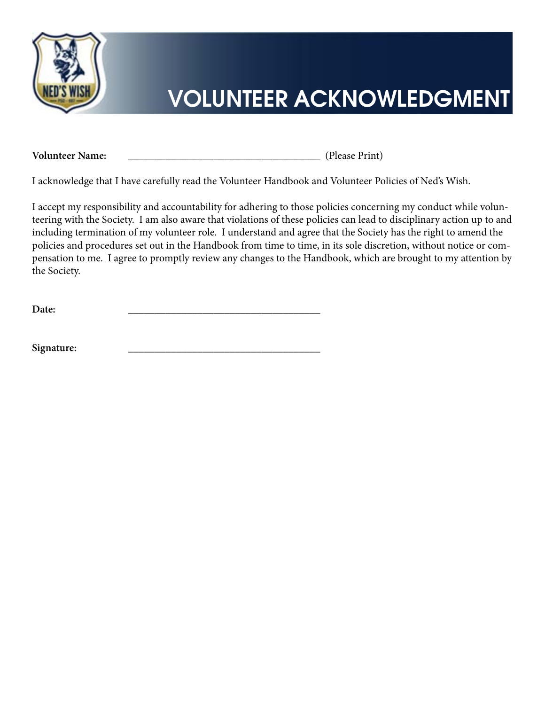

## VOLUNTEER ACKNOWLEDGMENT

**Volunteer Name:** \_\_\_\_\_\_\_\_\_\_\_\_\_\_\_\_\_\_\_\_\_\_\_\_\_\_\_\_\_\_\_\_\_\_\_\_ (Please Print)

I acknowledge that I have carefully read the Volunteer Handbook and Volunteer Policies of Ned's Wish.

I accept my responsibility and accountability for adhering to those policies concerning my conduct while volunteering with the Society. I am also aware that violations of these policies can lead to disciplinary action up to and including termination of my volunteer role. I understand and agree that the Society has the right to amend the policies and procedures set out in the Handbook from time to time, in its sole discretion, without notice or compensation to me. I agree to promptly review any changes to the Handbook, which are brought to my attention by the Society.

**Date:** \_\_\_\_\_\_\_\_\_\_\_\_\_\_\_\_\_\_\_\_\_\_\_\_\_\_\_\_\_\_\_\_\_\_\_\_

Signature: